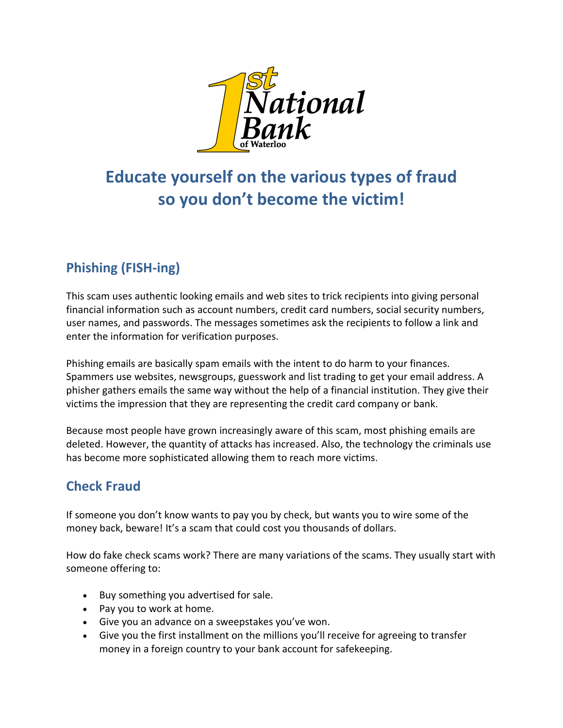

# **Educate yourself on the various types of fraud so you don't become the victim!**

## **Phishing (FISH-ing)**

This scam uses authentic looking emails and web sites to trick recipients into giving personal financial information such as account numbers, credit card numbers, social security numbers, user names, and passwords. The messages sometimes ask the recipients to follow a link and enter the information for verification purposes.

Phishing emails are basically spam emails with the intent to do harm to your finances. Spammers use websites, newsgroups, guesswork and list trading to get your email address. A phisher gathers emails the same way without the help of a financial institution. They give their victims the impression that they are representing the credit card company or bank.

Because most people have grown increasingly aware of this scam, most phishing emails are deleted. However, the quantity of attacks has increased. Also, the technology the criminals use has become more sophisticated allowing them to reach more victims.

### **Check Fraud**

If someone you don't know wants to pay you by check, but wants you to wire some of the money back, beware! It's a scam that could cost you thousands of dollars.

How do fake check scams work? There are many variations of the scams. They usually start with someone offering to:

- Buy something you advertised for sale.
- Pay you to work at home.
- Give you an advance on a sweepstakes you've won.
- Give you the first installment on the millions you'll receive for agreeing to transfer money in a foreign country to your bank account for safekeeping.